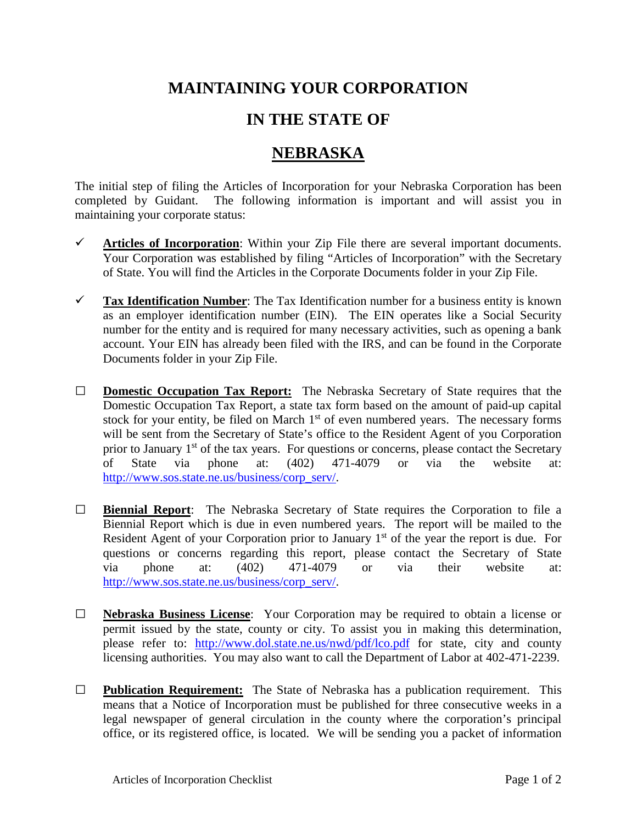## **MAINTAINING YOUR CORPORATION**

## **IN THE STATE OF**

## **NEBRASKA**

The initial step of filing the Articles of Incorporation for your Nebraska Corporation has been completed by Guidant. The following information is important and will assist you in maintaining your corporate status:

- $\checkmark$  Articles of Incorporation: Within your Zip File there are several important documents. Your Corporation was established by filing "Articles of Incorporation" with the Secretary of State. You will find the Articles in the Corporate Documents folder in your Zip File.
- **Tax Identification Number**: The Tax Identification number for a business entity is known as an employer identification number (EIN). The EIN operates like a Social Security number for the entity and is required for many necessary activities, such as opening a bank account. Your EIN has already been filed with the IRS, and can be found in the Corporate Documents folder in your Zip File.
- **□ Domestic Occupation Tax Report:** The Nebraska Secretary of State requires that the Domestic Occupation Tax Report, a state tax form based on the amount of paid-up capital stock for your entity, be filed on March  $1<sup>st</sup>$  of even numbered years. The necessary forms will be sent from the Secretary of State's office to the Resident Agent of you Corporation prior to January  $1<sup>st</sup>$  of the tax years. For questions or concerns, please contact the Secretary of State via phone at: (402) 471-4079 or via the website at: [http://www.sos.state.ne.us/business/corp\\_serv/.](http://www.sos.state.ne.us/business/corp_serv/)
- **□ Biennial Report**: The Nebraska Secretary of State requires the Corporation to file a Biennial Report which is due in even numbered years. The report will be mailed to the Resident Agent of your Corporation prior to January 1<sup>st</sup> of the year the report is due. For questions or concerns regarding this report, please contact the Secretary of State via phone at: (402) 471-4079 or via their website at: [http://www.sos.state.ne.us/business/corp\\_serv/.](http://www.sos.state.ne.us/business/corp_serv/)
- **□ Nebraska Business License**: Your Corporation may be required to obtain a license or permit issued by the state, county or city. To assist you in making this determination, please refer to: <http://www.dol.state.ne.us/nwd/pdf/lco.pdf> for state, city and county licensing authorities. You may also want to call the Department of Labor at 402-471-2239.
- **□ Publication Requirement:** The State of Nebraska has a publication requirement. This means that a Notice of Incorporation must be published for three consecutive weeks in a legal newspaper of general circulation in the county where the corporation's principal office, or its registered office, is located. We will be sending you a packet of information